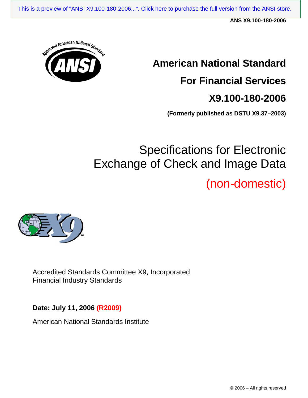

## **American National Standard For Financial Services X9.100-180-2006**

**(Formerly published as DSTU X9.37–2003)** 

# Specifications for Electronic Exchange of Check and Image Data

(non-domestic)



Accredited Standards Committee X9, Incorporated Financial Industry Standards

**Date: July 11, 2006 (R2009)**

American National Standards Institute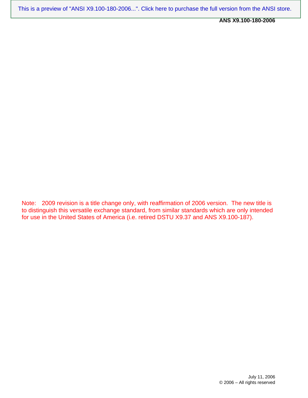**ANS X9.100-180-2006** 

Note: 2009 revision is a title change only, with reaffirmation of 2006 version. The new title is to distinguish this versatile exchange standard, from similar standards which are only intended for use in the United States of America (i.e. retired DSTU X9.37 and ANS X9.100-187).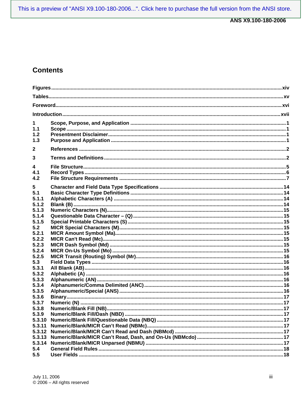### **Contents**

| 1.<br>1.1    |  |
|--------------|--|
| 1.2          |  |
| 1.3          |  |
| $\mathbf{2}$ |  |
|              |  |
| 3            |  |
| 4            |  |
| 4.1          |  |
| 4.2          |  |
| 5            |  |
| 5.1          |  |
| 5.1.1        |  |
| 5.1.2        |  |
| 5.1.3        |  |
| 5.1.4        |  |
| 5.1.5        |  |
| 5.2          |  |
| 5.2.1        |  |
| 5.2.2        |  |
| 5.2.3        |  |
| 5.2.4        |  |
| 5.2.5        |  |
| 5.3          |  |
| 5.3.1        |  |
| 5.3.2        |  |
| 5.3.3        |  |
| 5.3.4        |  |
| 5.3.5        |  |
| 5.3.6        |  |
| 5.3.7        |  |
| 5.3.8        |  |
| 5.3.9        |  |
| 5.3.10       |  |
| 5.3.11       |  |
| 5.3.12       |  |
| 5.3.13       |  |
| 5.3.14       |  |
| 5.4          |  |
| 5.5          |  |
|              |  |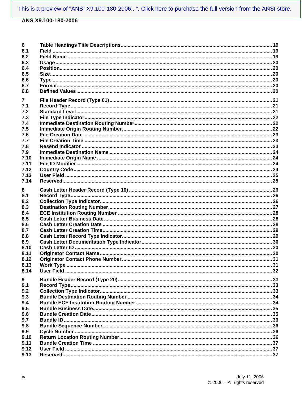| 6    |  |
|------|--|
| 6.1  |  |
| 6.2  |  |
| 6.3  |  |
| 6.4  |  |
| 6.5  |  |
| 6.6  |  |
| 6.7  |  |
| 6.8  |  |
| 7    |  |
| 7.1  |  |
| 7.2  |  |
| 7.3  |  |
| 7.4  |  |
| 7.5  |  |
| 7.6  |  |
| 7.7  |  |
| 7.8  |  |
| 7.9  |  |
| 7.10 |  |
| 7.11 |  |
| 7.12 |  |
| 7.13 |  |
| 7.14 |  |
| 8    |  |
| 8.1  |  |
| 8.2  |  |
| 8.3  |  |
| 8.4  |  |
| 8.5  |  |
| 8.6  |  |
| 8.7  |  |
| 8.8  |  |
| 8.9  |  |
| 8.10 |  |
| 8.11 |  |
| 8.12 |  |
| 8.13 |  |
| 8.14 |  |
| 9    |  |
| 9.1  |  |
| 9.2  |  |
| 9.3  |  |
| 9.4  |  |
| 9.5  |  |
| 9.6  |  |
| 9.7  |  |
| 9.8  |  |
| 9.9  |  |
| 9.10 |  |
| 9.11 |  |
| 9.12 |  |
| 9.13 |  |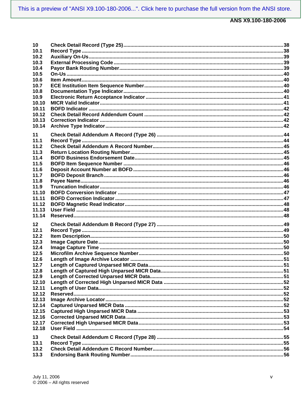| 10    |  |
|-------|--|
| 10.1  |  |
| 10.2  |  |
| 10.3  |  |
| 10.4  |  |
| 10.5  |  |
| 10.6  |  |
| 10.7  |  |
| 10.8  |  |
| 10.9  |  |
| 10.10 |  |
| 10.11 |  |
| 10.12 |  |
| 10.13 |  |
| 10.14 |  |
|       |  |
| 11    |  |
| 11.1  |  |
| 11.2  |  |
| 11.3  |  |
| 11.4  |  |
| 11.5  |  |
| 11.6  |  |
| 11.7  |  |
| 11.8  |  |
| 11.9  |  |
| 11.10 |  |
| 11.11 |  |
| 11.12 |  |
| 11.13 |  |
| 11.14 |  |
|       |  |
| 12    |  |
| 12.1  |  |
| 12.2  |  |
| 12.3  |  |
| 12.4  |  |
| 12.5  |  |
| 12.6  |  |
| 12.7  |  |
| 12.8  |  |
| 12.9  |  |
| 12.10 |  |
| 12.11 |  |
| 12.12 |  |
| 12.13 |  |
| 12.14 |  |
| 12.15 |  |
| 12.16 |  |
| 12.17 |  |
| 12.18 |  |
|       |  |
| 13    |  |
| 13.1  |  |
| 13.2  |  |
| 13.3  |  |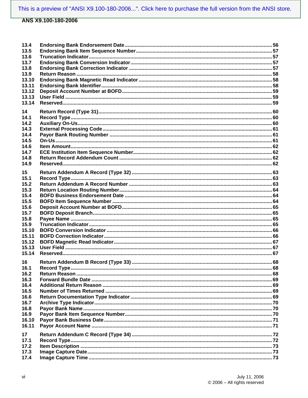| 13.4<br>13.5<br>13.6<br>13.7<br>13.8<br>13.9<br>13.10<br>13.11<br>13.12<br>13.13<br>13.14                               |  |
|-------------------------------------------------------------------------------------------------------------------------|--|
| 14<br>14.1<br>14.2<br>14.3<br>14.4<br>14.5<br>14.6<br>14.7<br>14.8<br>14.9                                              |  |
| 15<br>15.1<br>15.2<br>15.3<br>15.4<br>15.5<br>15.6<br>15.7<br>15.8<br>15.9<br>15.10<br>15.11<br>15.12<br>15.13<br>15.14 |  |
| 16<br>16.1<br>16.2<br>16.3<br>16.4<br>16.5<br>16.6<br>16.7<br>16.8<br>16.9<br>16.10<br>16.11                            |  |
| 17<br>17.1<br>17.2<br>17.3<br>17.4                                                                                      |  |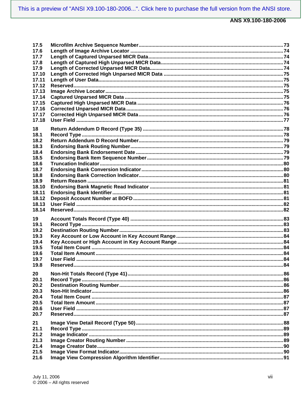| 17.5  |  |
|-------|--|
| 17.6  |  |
| 17.7  |  |
| 17.8  |  |
| 17.9  |  |
| 17.10 |  |
| 17.11 |  |
| 17.12 |  |
| 17.13 |  |
|       |  |
| 17.14 |  |
| 17.15 |  |
| 17.16 |  |
| 17.17 |  |
| 17.18 |  |
| 18    |  |
| 18.1  |  |
| 18.2  |  |
| 18.3  |  |
|       |  |
| 18.4  |  |
| 18.5  |  |
| 18.6  |  |
| 18.7  |  |
| 18.8  |  |
| 18.9  |  |
| 18.10 |  |
| 18.11 |  |
| 18.12 |  |
| 18.13 |  |
| 18.14 |  |
|       |  |
| 19    |  |
| 19.1  |  |
| 19.2  |  |
| 19.3  |  |
| 19.4  |  |
| 19.5  |  |
| 19.6  |  |
| 19.7  |  |
| 19.8  |  |
|       |  |
| 20    |  |
| 20.1  |  |
| 20.2  |  |
| 20.3  |  |
| 20.4  |  |
| 20.5  |  |
| 20.6  |  |
| 20.7  |  |
|       |  |
| 21    |  |
| 21.1  |  |
| 21.2  |  |
| 21.3  |  |
| 21.4  |  |
| 21.5  |  |
| 21.6  |  |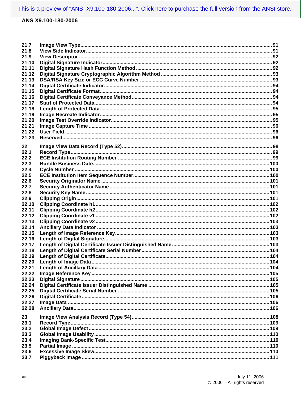| 21.7  |  |
|-------|--|
| 21.8  |  |
| 21.9  |  |
| 21.10 |  |
| 21.11 |  |
| 21,12 |  |
| 21.13 |  |
| 21.14 |  |
| 21.15 |  |
| 21.16 |  |
| 21.17 |  |
| 21.18 |  |
| 21.19 |  |
| 21.20 |  |
| 21.21 |  |
| 21.22 |  |
| 21.23 |  |
|       |  |
| 22    |  |
| 22.1  |  |
| 22.2  |  |
| 22.3  |  |
| 22.4  |  |
| 22.5  |  |
| 22.6  |  |
| 22.7  |  |
| 22.8  |  |
| 22.9  |  |
| 22.10 |  |
| 22.11 |  |
| 22.12 |  |
| 22.13 |  |
| 22.14 |  |
| 22.15 |  |
| 22.16 |  |
| 22.17 |  |
| 22.18 |  |
| 22.19 |  |
| 22.20 |  |
| 22.21 |  |
| 22.22 |  |
| 22.23 |  |
| 22.24 |  |
| 22.25 |  |
| 22.26 |  |
| 22.27 |  |
| 22.28 |  |
| 23    |  |
| 23.1  |  |
| 23.2  |  |
| 23.3  |  |
| 23.4  |  |
| 23.5  |  |
| 23.6  |  |
| 23.7  |  |
|       |  |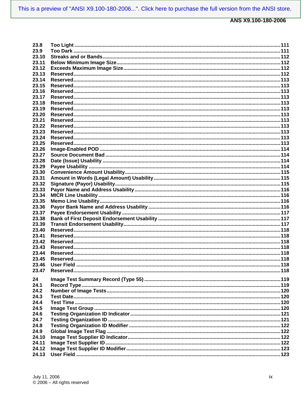| 23.8  |  |
|-------|--|
| 23.9  |  |
| 23.10 |  |
| 23.11 |  |
|       |  |
| 23.12 |  |
| 23.13 |  |
| 23.14 |  |
| 23.15 |  |
| 23.16 |  |
| 23.17 |  |
| 23.18 |  |
| 23.19 |  |
| 23.20 |  |
| 23.21 |  |
| 23.22 |  |
| 23.23 |  |
| 23.24 |  |
| 23.25 |  |
|       |  |
| 23.26 |  |
| 23.27 |  |
| 23.28 |  |
| 23.29 |  |
| 23.30 |  |
| 23.31 |  |
| 23.32 |  |
| 23.33 |  |
| 23.34 |  |
| 23.35 |  |
| 23.36 |  |
| 23.37 |  |
| 23.38 |  |
| 23.39 |  |
| 23.40 |  |
| 23.41 |  |
|       |  |
| 23.42 |  |
| 23.43 |  |
| 23.44 |  |
| 23.45 |  |
| 23.46 |  |
| 23.47 |  |
|       |  |
| 24    |  |
| 24.1  |  |
| 24.2  |  |
| 24.3  |  |
| 24.4  |  |
| 24.5  |  |
| 24.6  |  |
| 24.7  |  |
| 24.8  |  |
| 24.9  |  |
| 24.10 |  |
| 24.11 |  |
| 24.12 |  |
| 24.13 |  |
|       |  |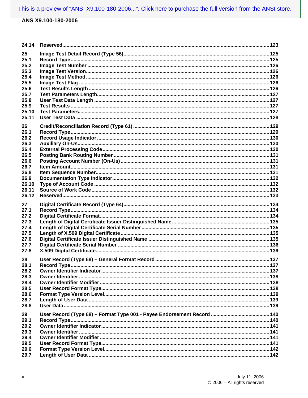| 24.14        |  |
|--------------|--|
| 25           |  |
| 25.1         |  |
| 25.2         |  |
| 25.3         |  |
| 25.4         |  |
| 25.5         |  |
| 25.6         |  |
| 25.7         |  |
| 25.8         |  |
| 25.9         |  |
| 25.10        |  |
| 25.11        |  |
| 26           |  |
| 26.1         |  |
| 26.2         |  |
| 26.3         |  |
| 26.4         |  |
| 26.5         |  |
| 26.6         |  |
| 26.7         |  |
| 26.8         |  |
| 26.9         |  |
| 26.10        |  |
| 26.11        |  |
| 26.12        |  |
| 27           |  |
| 27.1         |  |
| 27.2         |  |
| 27.3         |  |
| 27.4<br>27.5 |  |
| 27.6         |  |
| 27.7         |  |
| 27.8         |  |
|              |  |
| 28           |  |
| 28.1<br>28.2 |  |
| 28.3         |  |
| 28.4         |  |
| 28.5         |  |
| 28.6         |  |
| 28.7         |  |
| 28.8         |  |
| 29           |  |
| 29.1         |  |
| 29.2         |  |
| 29.3         |  |
| 29.4         |  |
| 29.5         |  |
| 29.6         |  |
| 29.7         |  |
|              |  |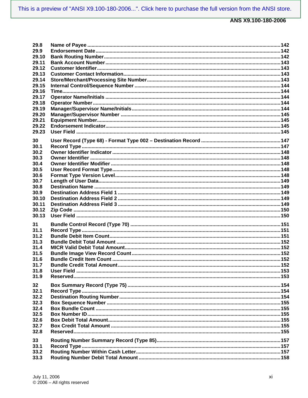| 29.8<br>29.9<br>29.10<br>29.11<br>29.12<br>29.13<br>29.14<br>29.15<br>29.16<br>29.17<br>29.18<br>29.19<br>29.20<br>29.21<br>29.22<br>29.23 |  |
|--------------------------------------------------------------------------------------------------------------------------------------------|--|
| 30<br>30.1<br>30.2<br>30.3<br>30.4<br>30.5<br>30.6<br>30.7<br>30.8<br>30.9<br>30.10<br>30.11<br>30.12<br>30.13                             |  |
| 31<br>31.1<br>31.2<br>31.3<br>31.4<br>31.5<br>31.6<br>31.7<br>31.8<br>31.9                                                                 |  |
| 32<br>32.1<br>32.2<br>32.3<br>32.4<br>32.5<br>32.6<br>32.7<br>32.8<br>33<br>33.1<br>33.2<br>33.3                                           |  |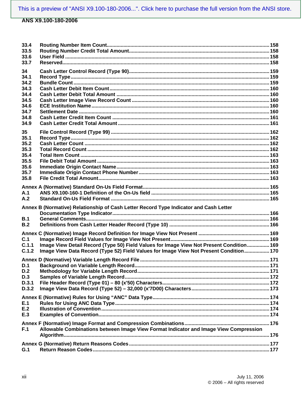| 33.4<br>33.5<br>33.6  |                                                                                                                                                                                    |  |
|-----------------------|------------------------------------------------------------------------------------------------------------------------------------------------------------------------------------|--|
| 33.7<br>34            |                                                                                                                                                                                    |  |
| 34.1<br>34.2<br>34.3  |                                                                                                                                                                                    |  |
| 34.4<br>34.5          |                                                                                                                                                                                    |  |
| 34.6<br>34.7<br>34.8  |                                                                                                                                                                                    |  |
| 34.9                  |                                                                                                                                                                                    |  |
| 35<br>35.1<br>35.2    |                                                                                                                                                                                    |  |
| 35.3<br>35.4          |                                                                                                                                                                                    |  |
| 35.5<br>35.6<br>35.7  |                                                                                                                                                                                    |  |
| 35.8                  |                                                                                                                                                                                    |  |
| A.1<br>A.2            |                                                                                                                                                                                    |  |
|                       | Annex B (Normative) Relationship of Cash Letter Record Type Indicator and Cash Letter                                                                                              |  |
| B.1<br>B.2            |                                                                                                                                                                                    |  |
| C.1<br>C.1.1<br>C.1.2 | Image View Detail Record (Type 50) Field Values for Image View Not Present Condition 169<br>Image View Data Record (Type 52) Field Values for Image View Not Present Condition 170 |  |
| D.1                   |                                                                                                                                                                                    |  |
| D.2<br>D.3            |                                                                                                                                                                                    |  |
| D.3.1<br>D.3.2        |                                                                                                                                                                                    |  |
| E.1<br>E.2<br>E.3     |                                                                                                                                                                                    |  |
| F.1                   | Allowable Combinations between Image View Format Indicator and Image View Compression                                                                                              |  |
| G.1                   |                                                                                                                                                                                    |  |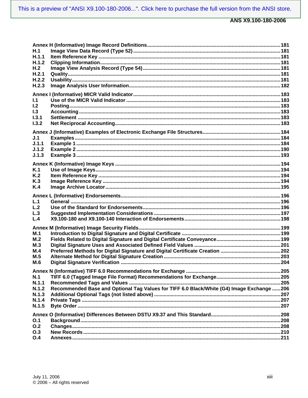| H.1            |                                                                                           |  |
|----------------|-------------------------------------------------------------------------------------------|--|
| H.1.1          |                                                                                           |  |
| H.1.2          |                                                                                           |  |
| H.2            |                                                                                           |  |
| H.2.1          |                                                                                           |  |
| H.2.2          |                                                                                           |  |
| H.2.3          |                                                                                           |  |
|                |                                                                                           |  |
| 1.1            |                                                                                           |  |
| 1.2            |                                                                                           |  |
| 1.3            |                                                                                           |  |
| 1.3.1          |                                                                                           |  |
| 1.3.2          |                                                                                           |  |
|                |                                                                                           |  |
| J.1            |                                                                                           |  |
| J.1.1          |                                                                                           |  |
| J.1.2          |                                                                                           |  |
| J.1.3          |                                                                                           |  |
|                |                                                                                           |  |
|                |                                                                                           |  |
| K.1            |                                                                                           |  |
| K <sub>2</sub> |                                                                                           |  |
| K <sub>3</sub> |                                                                                           |  |
| K.4            |                                                                                           |  |
|                |                                                                                           |  |
|                |                                                                                           |  |
| L.1            |                                                                                           |  |
| L.2            |                                                                                           |  |
| L.3            |                                                                                           |  |
| L.4            |                                                                                           |  |
|                |                                                                                           |  |
|                |                                                                                           |  |
| M.1            |                                                                                           |  |
| M.2            |                                                                                           |  |
| M.3            |                                                                                           |  |
| M.4<br>M.5     |                                                                                           |  |
|                |                                                                                           |  |
| M.6            |                                                                                           |  |
|                |                                                                                           |  |
| N.1            |                                                                                           |  |
| N.1.1          |                                                                                           |  |
| N.1.2          | Recommended Base and Optional Tag Values for TIFF 6.0 Black/White (G4) Image Exchange 206 |  |
| N.1.3          |                                                                                           |  |
| N.1.4          |                                                                                           |  |
| N.1.5          |                                                                                           |  |
|                |                                                                                           |  |
| O.1            |                                                                                           |  |
| O.2            |                                                                                           |  |
| O.3<br>O.4     |                                                                                           |  |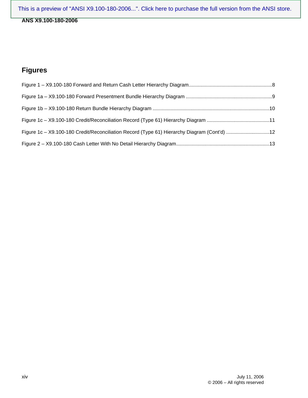### <span id="page-13-0"></span>**ANS X9.100-180-2006**

## **Figures**

| Figure 1c - X9.100-180 Credit/Reconciliation Record (Type 61) Hierarchy Diagram (Cont'd) 12 |  |
|---------------------------------------------------------------------------------------------|--|
|                                                                                             |  |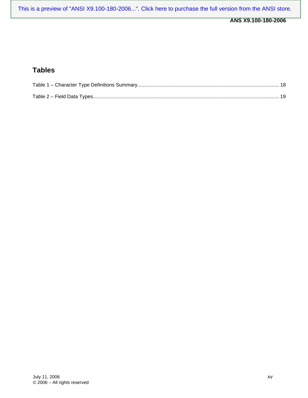### <span id="page-14-0"></span>**Tables**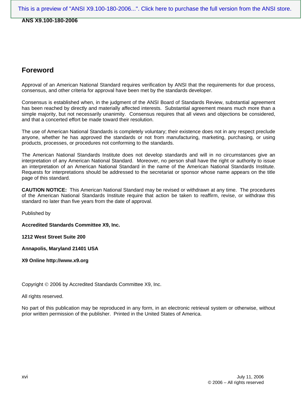### <span id="page-15-0"></span>**Foreword**

Approval of an American National Standard requires verification by ANSI that the requirements for due process, consensus, and other criteria for approval have been met by the standards developer.

Consensus is established when, in the judgment of the ANSI Board of Standards Review, substantial agreement has been reached by directly and materially affected interests. Substantial agreement means much more than a simple majority, but not necessarily unanimity. Consensus requires that all views and objections be considered, and that a concerted effort be made toward their resolution.

The use of American National Standards is completely voluntary; their existence does not in any respect preclude anyone, whether he has approved the standards or not from manufacturing, marketing, purchasing, or using products, processes, or procedures not conforming to the standards.

The American National Standards Institute does not develop standards and will in no circumstances give an interpretation of any American National Standard. Moreover, no person shall have the right or authority to issue an interpretation of an American National Standard in the name of the American National Standards Institute. Requests for interpretations should be addressed to the secretariat or sponsor whose name appears on the title page of this standard.

**CAUTION NOTICE:** This American National Standard may be revised or withdrawn at any time. The procedures of the American National Standards Institute require that action be taken to reaffirm, revise, or withdraw this standard no later than five years from the date of approval.

Published by

**Accredited Standards Committee X9, Inc.** 

**1212 West Street Suite 200** 

**Annapolis, Maryland 21401 USA** 

**X9 Online http://www.x9.org** 

Copyright © 2006 by Accredited Standards Committee X9, Inc.

All rights reserved.

No part of this publication may be reproduced in any form, in an electronic retrieval system or otherwise, without prior written permission of the publisher. Printed in the United States of America.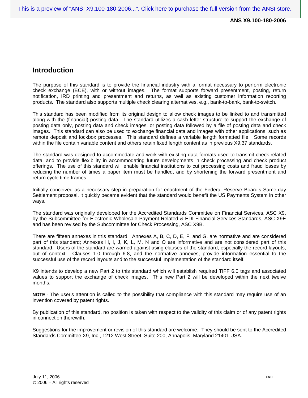### <span id="page-16-0"></span>**Introduction**

The purpose of this standard is to provide the financial industry with a format necessary to perform electronic check exchange (ECE), with or without images. The format supports forward presentment, posting, return notification, IRD printing and presentment and returns, as well as existing customer information reporting products. The standard also supports multiple check clearing alternatives, e.g., bank-to-bank, bank-to-switch.

This standard has been modified from its original design to allow check images to be linked to and transmitted along with the (financial) posting data. The standard utilizes a cash letter structure to support the exchange of posting data only, posting data and check images, or posting data followed by a file of posting data and check images. This standard can also be used to exchange financial data and images with other applications, such as remote deposit and lockbox processes. This standard defines a variable length formatted file. Some records within the file contain variable content and others retain fixed length content as in previous X9.37 standards.

The standard was designed to accommodate and work with existing data formats used to transmit check-related data, and to provide flexibility in accommodating future developments in check processing and check product offerings. The use of this standard will enable financial institutions to cut processing costs and fraud losses by reducing the number of times a paper item must be handled, and by shortening the forward presentment and return cycle time frames.

Initially conceived as a necessary step in preparation for enactment of the Federal Reserve Board's Same-day Settlement proposal, it quickly became evident that the standard would benefit the US Payments System in other ways.

The standard was originally developed for the Accredited Standards Committee on Financial Services, ASC X9, by the Subcommittee for Electronic Wholesale Payment Related & EDI Financial Services Standards, ASC X9E and has been revised by the Subcommittee for Check Processing, ASC X9B.

There are fifteen annexes in this standard. Annexes A, B, C, D, E, F, and G, are normative and are considered part of this standard; Annexes H, I, J, K, L, M, N and O are informative and are not considered part of this standard. Users of the standard are warned against using clauses of the standard, especially the record layouts, out of context. Clauses 1.0 through 6.8, and the normative annexes, provide information essential to the successful use of the record layouts and to the successful implementation of the standard itself.

X9 intends to develop a new Part 2 to this standard which will establish required TIFF 6.0 tags and associated values to support the exchange of check images. This new Part 2 will be developed within the next twelve months.

**NOTE** - The user's attention is called to the possibility that compliance with this standard may require use of an invention covered by patent rights.

By publication of this standard, no position is taken with respect to the validity of this claim or of any patent rights in connection therewith.

Suggestions for the improvement or revision of this standard are welcome. They should be sent to the Accredited Standards Committee X9, Inc., 1212 West Street, Suite 200, Annapolis, Maryland 21401 USA.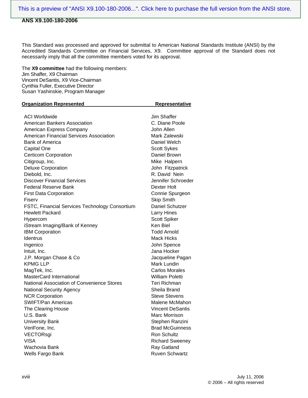This Standard was processed and approved for submittal to American National Standards Institute (ANSI) by the Accredited Standards Committee on Financial Services, X9. Committee approval of the Standard does not necessarily imply that all the committee members voted for its approval.

The **X9 committee** had the following members: Jim Shaffer, X9 Chairman Vincent DeSantis, X9 Vice-Chairman Cynthia Fuller, Executive Director Susan Yashinskie, Program Manager

| <b>Organization Represented</b>                | Representative          |
|------------------------------------------------|-------------------------|
| <b>ACI Worldwide</b>                           | Jim Shaffer             |
| <b>American Bankers Association</b>            | C. Diane Poole          |
| American Express Company                       | John Allen              |
| <b>American Financial Services Association</b> | Mark Zalewski           |
| <b>Bank of America</b>                         | Daniel Welch            |
| Capital One                                    | <b>Scott Sykes</b>      |
| <b>Certicom Corporation</b>                    | Daniel Brown            |
| Citigroup, Inc.                                | Mike Halpern            |
| <b>Deluxe Corporation</b>                      | John Fitzpatrick        |
| Diebold, Inc.                                  | R. David Nein           |
| <b>Discover Financial Services</b>             | Jennifer Schroeder      |
| Federal Reserve Bank                           | Dexter Holt             |
| <b>First Data Corporation</b>                  | Connie Spurgeon         |
| Fiserv                                         | <b>Skip Smith</b>       |
| FSTC, Financial Services Technology Consortium | Daniel Schutzer         |
| <b>Hewlett Packard</b>                         | <b>Larry Hines</b>      |
| Hypercom                                       | Scott Spiker            |
| iStream Imaging/Bank of Kenney                 | Ken Biel                |
| <b>IBM Corporation</b>                         | <b>Todd Arnold</b>      |
| <b>Identrus</b>                                | <b>Mack Hicks</b>       |
| Ingenico                                       | John Spence             |
| Intuit, Inc.                                   | Jana Hocker             |
| J.P. Morgan Chase & Co                         | Jacqueline Pagan        |
| <b>KPMG LLP</b>                                | Mark Lundin             |
| MagTek, Inc.                                   | <b>Carlos Morales</b>   |
| <b>MasterCard International</b>                | William Poletti         |
| National Association of Convenience Stores     | Teri Richman            |
| National Security Agency                       | Sheila Brand            |
| <b>NCR Corporation</b>                         | <b>Steve Stevens</b>    |
| <b>SWIFT/Pan Americas</b>                      | Malene McMahon          |
| The Clearing House                             | <b>Vincent DeSantis</b> |
| U.S. Bank                                      | Marc Morrison           |
| <b>University Bank</b>                         | Stephen Ranzini         |
| VeriFone, Inc.                                 | <b>Brad McGuinness</b>  |
| VECTORsgi                                      | Ron Schultz             |
| VISA                                           | <b>Richard Sweeney</b>  |
| Wachovia Bank                                  | Ray Gatland             |
| Wells Fargo Bank                               | <b>Ruven Schwartz</b>   |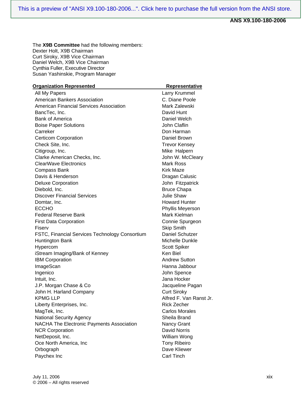The **X9B Committee** had the following members: Dexter Holt, X9B Chairman Curt Siroky, X9B Vice Chairman Daniel Welch, X9B Vice Chairman Cynthia Fuller, Executive Director Susan Yashinskie, Program Manager

| <b>Organization Represented</b>                | Representative          |
|------------------------------------------------|-------------------------|
| All My Papers                                  | Larry Krummel           |
| <b>American Bankers Association</b>            | C. Diane Poole          |
| <b>American Financial Services Association</b> | Mark Zalewski           |
| BancTec, Inc.                                  | David Hunt              |
| <b>Bank of America</b>                         | Daniel Welch            |
| <b>Boise Paper Solutions</b>                   | John Claflin            |
| Carreker                                       | Don Harman              |
| <b>Certicom Corporation</b>                    | Daniel Brown            |
| Check Site, Inc.                               | <b>Trevor Kensey</b>    |
| Citigroup, Inc.                                | Mike Halpern            |
| Clarke American Checks, Inc.                   | John W. McCleary        |
| <b>ClearWave Electronics</b>                   | Mark Ross               |
| <b>Compass Bank</b>                            | Kirk Maze               |
| Davis & Henderson                              | Dragan Calusic          |
| <b>Deluxe Corporation</b>                      | John Fitzpatrick        |
| Diebold, Inc.                                  | <b>Bruce Chapa</b>      |
| <b>Discover Financial Services</b>             | <b>Julie Shaw</b>       |
| Domtar, Inc.                                   | <b>Howard Hunter</b>    |
| <b>ECCHO</b>                                   | Phyllis Meyerson        |
| <b>Federal Reserve Bank</b>                    | Mark Kielman            |
| <b>First Data Corporation</b>                  | Connie Spurgeon         |
| Fiserv                                         | <b>Skip Smith</b>       |
| FSTC, Financial Services Technology Consortium | Daniel Schutzer         |
| Huntington Bank                                | Michelle Dunkle         |
| Hypercom                                       | Scott Spiker            |
| iStream Imaging/Bank of Kenney                 | Ken Biel                |
| <b>IBM Corporation</b>                         | <b>Andrew Sutton</b>    |
| ImageScan                                      | Hanna Jabbour           |
| Ingenico                                       | John Spence             |
| Intuit, Inc.                                   | Jana Hocker             |
| J.P. Morgan Chase & Co                         | Jacqueline Pagan        |
| John H. Harland Company                        | <b>Curt Siroky</b>      |
| <b>KPMG LLP</b>                                | Alfred F. Van Ranst Jr. |
| Liberty Enterprises, Inc.                      | <b>Rick Zecher</b>      |
| MagTek, Inc.                                   | <b>Carlos Morales</b>   |
| <b>National Security Agency</b>                | Sheila Brand            |
| NACHA The Electronic Payments Association      | Nancy Grant             |
| <b>NCR Corporation</b>                         | David Norris            |
| NetDeposit, Inc.                               | William Wong            |
| Oce North America, Inc                         | <b>Tony Ribeiro</b>     |
| Orbograph                                      | Dave Kliewer            |
| Paychex Inc                                    | <b>Carl Tinch</b>       |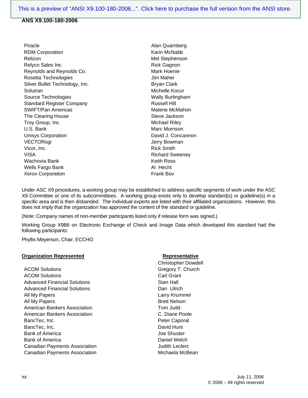| Piracle                          | Alan Quarnberg         |
|----------------------------------|------------------------|
| <b>RDM Corporation</b>           | Karin McNabb           |
| Relizon                          | Mel Stephenson         |
| Relyco Sales Inc                 | <b>Rick Gagnon</b>     |
| Reynolds and Reynolds Co.        | Mark Hoenie            |
| Rosetta Technologies             | Jim Maher              |
| Silver Bullet Technology, Inc.   | <b>Bryan Clark</b>     |
| Solutran                         | Michelle Kocur         |
| Source Technologies              | Wally Burlingham       |
| <b>Standard Register Company</b> | <b>Russell Hill</b>    |
| <b>SWIFT/Pan Americas</b>        | Malene McMahon         |
| The Clearing House               | Steve Jackson          |
| Troy Group, Inc.                 | Michael Riley          |
| U.S. Bank                        | Marc Morrison          |
| <b>Unisys Corporation</b>        | David J. Concannon     |
| VECTORsgi                        | Jerry Bowman           |
| Vicor, Inc.                      | <b>Rick Smith</b>      |
| VISA                             | <b>Richard Sweeney</b> |
| Wachovia Bank                    | <b>Keith Ross</b>      |
| Wells Fargo Bank                 | Al Hecht               |
| Xerox Corporation                | <b>Frank Bov</b>       |
|                                  |                        |

Under ASC X9 procedures, a working group may be established to address specific segments of work under the ASC X9 Committee or one of its subcommittees. A working group exists only to develop standard(s) or guideline(s) in a specific area and is then disbanded. The individual experts are listed with their affiliated organizations. However, this does not imply that the organization has approved the content of the standard or guideline.

(Note: Company names of non-member participants listed only if release form was signed.)

Working Group X9B6 on Electronic Exchange of Check and Image Data which developed this standard had the following participants:

Phyllis Meyerson, Chair, ECCHO

#### **Organization Represented** *Representative*

ACOM Solutions **Gregory T. Church** ACOM Solutions **Carl Grant** Advanced Financial Solutions **Stan Hall** Stan Hall Advanced Financial Solutions **Dan Ulrich** Dan Ulrich All My Papers **Larry Krummel** All My Papers **Brett Nelson** American Bankers Association Tom Judd American Bankers Association **C. Diane Poole** BancTec, Inc. **Peter Caporal** BancTec, Inc. **David Hunt** Bank of America **Joe Shuster** Joe Shuster Bank of America Daniel Welch Canadian Payments Association **Canadian Payments Association** Judith Leclerc Canadian Payments Association Michaela McBean

Christopher Dowdell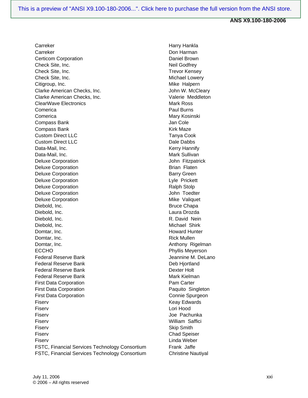#### **ANS X9.100-180-2006**

Carreker Harry Hankla Carreker Don Harman Certicom Corporation **Daniel Brown** Check Site, Inc. **Neil Godfrey** Check Site, Inc. **Trevor Kensey** Check Site, Inc. **Michael Lowery** Citigroup, Inc. **Mike Halpern** Mike Halpern Clarke American Checks, Inc. **Clarke American Checks**, Inc. Clarke American Checks, Inc. Valerie Meddleton ClearWave Electronics **Mark Ross** Mark Ross Comerica **Paul Burns** Paul Burns Comerica Mary Kosinski **Compass Bank** Jan Cole Compass Bank **Kirk Maze** Custom Direct LLC **Tanya Cook Custom Direct LLC** Dale Dabbs Data-Mail, Inc. **Network** Contract Contract Contract Contract Contract Contract Contract Contract Contract Contract Contract Contract Contract Contract Contract Contract Contract Contract Contract Contract Contract Contrac Data-Mail, Inc. **Mark Sullivan** Deluxe Corporation **Deluxe Corporation John Fitzpatrick** Deluxe Corporation **Brian Flaten** Brian Flaten Deluxe Corporation **Barry Green** Barry Green Deluxe Corporation **Lyle Prickett** Deluxe Corporation **Ralph Stolp** Deluxe Corporation and Toedter John Toedter Deluxe Corporation **Mike Valiquet Mike Valiquet** Diebold, Inc. **Bruce Chapa** Diebold, Inc. Laura Drozda Diebold, Inc. **R. David Nein** Diebold, Inc. **Michael Shirk** Domtar, Inc. **Example 20 Howard Hunter** Domtar, Inc. **Example 2018** 2019 12:30 Rick Mullen Domtar, Inc. **Anthony Rigelman** ECCHO Phyllis Meyerson Federal Reserve Bank **Internal and Seanning M. DeLano** Federal Reserve Bank Deb Hjortland Federal Reserve Bank Dexter Holt Federal Reserve Bank Mark Kielman First Data Corporation **Pam Carter** Pam Carter First Data Corporation **Paquito Singleton** Paquito Singleton First Data Corporation **Connie Spurgeon** Fiserv **Keav Edwards** Fiserv Lori Hood Fiserv Joe Pachunka Fiserv William Saffici Fiserv **Skip Smith** Fiserv **Chad Speiser** Fiserv **Linda Weber** FSTC, Financial Services Technology Consortium Frank Jaffe FSTC, Financial Services Technology Consortium Christine Nautiyal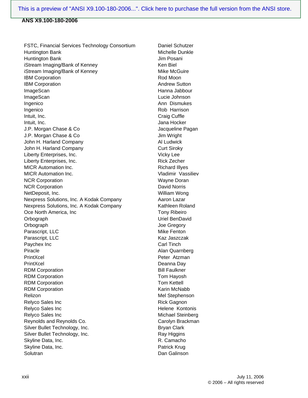FSTC, Financial Services Technology Consortium Daniel Schutzer Huntington Bank Michelle Dunkle Huntington Bank **Jim Posani** iStream Imaging/Bank of Kenney Kenney Ken Biel iStream Imaging/Bank of Kenney Mike McGuire IBM Corporation **Rod Moon IBM Corporation Andrew Sutton** ImageScan Hanna Jabbour ImageScan Lucie Johnson Ingenico **Anni Dismukes** Ingenico Rob Harrison Intuit, Inc. **Craig Cuffle** Intuit, Inc. **Intuit, Inc. Intuit, Inc. Jana Hocker** J.P. Morgan Chase & Co Jacqueline Pagan J.P. Morgan Chase & Co Jim Wright John H. Harland Company **All Ludwick** John H. Harland Company Curt Siroky Liberty Enterprises, Inc. Vicky Lee Liberty Enterprises, Inc. The Contract of the Rick Zecher MICR Automation Inc. **Richard Illyes Richard Illyes** MICR Automation Inc. Vladimir Vassiliev NCR Corporation Wayne Doran NCR Corporation **David Norris** NetDeposit, Inc. William Wong Nexpress Solutions, Inc. A Kodak Company **Aaron Lazar** Nexpress Solutions, Inc. A Kodak Company Kathleen Roland Oce North America, Inc **Tony Ribeiro** Tony Ribeiro Orbograph Uriel BenDavid Orbograph **Communist Communist Communist Communist Communist Communist Communist Communist Communist Communist Communist Communist Communist Communist Communist Communist Communist Communist Communist Communist Communist C** Parascript, LLC Mike Fenton Parascript, LLC Kaz Jaszczak Paychex Inc **Carl Tinch** Piracle **Alan Quarnberg Alan Quarnberg** PrintXcel PrintXcel **Principal Peter Atzman** PrintXcel **Deanna Day** RDM Corporation **Bill Faulkner** RDM Corporation **National Community** Tom Hayosh RDM Corporation **National Contract Contract Contract Contract Contract Contract Contract Contract Contract Contract Contract Contract Contract Contract Contract Contract Contract Contract Contract Contract Contract Contrac** RDM Corporation **Karin McNabb** Karin McNabb Relizon **Mel Stephenson** Mel Stephenson Relyco Sales Inc **Rick Gagnon** Rick Gagnon Relyco Sales Inc **Helene** Kontonis Relyco Sales Inc **Michael Steinberg** Michael Steinberg Reynolds and Reynolds Co. The Carolyn Brackman Silver Bullet Technology, Inc. **Bryan Clark** Bryan Clark Silver Bullet Technology, Inc. The Contract of the Ray Higgins Skyline Data, Inc. **R. Camacho** R. Camacho Skyline Data, Inc. **Patrick Krug** Solutran Dan Galinson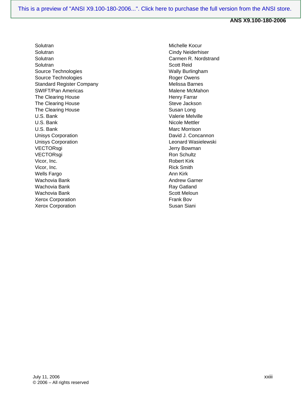#### **ANS X9.100-180-2006**

Solutran Cindy Neiderhiser Solutran Carmen R. Nordstrand Solutran Solutran Scott Reid Source Technologies **Wally Burlingham** Source Technologies **Roger Owens** Roger Owens Standard Register Company Melissa Barnes SWIFT/Pan Americas and a state of the Malene McMahon The Clearing House **Henry Farrar** Henry Farrar The Clearing House Steve Jackson The Clearing House **Susan Long** U.S. Bank Valerie Melville U.S. Bank **Nicole Mettler** U.S. Bank Marc Morrison and Marc Morrison and Marc Morrison and Marc Morrison Unisys Corporation **David J. Concannon** Unisys Corporation **Leonard Wasielewski** VECTORsgi **VECTORsgi** Jerry Bowman VECTORsgi **Ron Schultz** Vicor, Inc. **Robert Kirk** Vicor, Inc. **Rick Smith** Wells Fargo **Annual Annual Annual Annual Annual Annual Annual Annual Annual Annual Annual Annual Annual Annual Annual Annual Annual Annual Annual Annual Annual Annual Annual Annual Annual Annual Annual Annual Annual Annual** Wachovia Bank **Andrew Garner** Andrew Garner Wachovia Bank **Ray Gatland** Ray Gatland Wachovia Bank **Scott Meloun** Scott Meloun Xerox Corporation **Frank Boy** Xerox Corporation **Susan Siani** Susan Siani

Solutran Michelle Kocur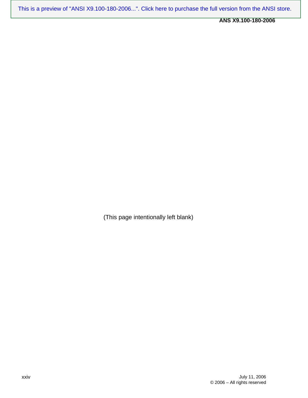**ANS X9.100-180-2006** 

(This page intentionally left blank)